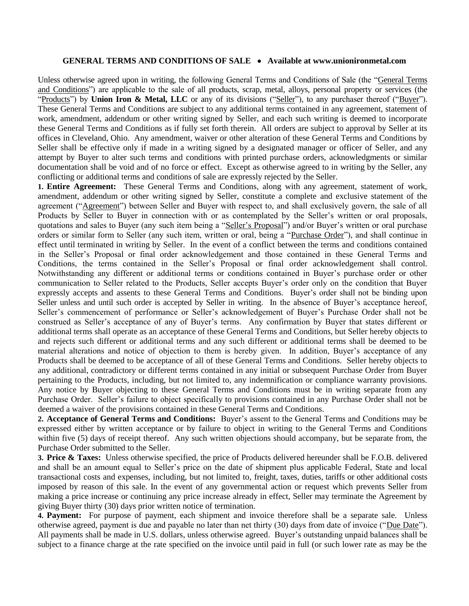## **GENERAL TERMS AND CONDITIONS OF SALE Available at www.unionironmetal.com**

Unless otherwise agreed upon in writing, the following General Terms and Conditions of Sale (the "General Terms and Conditions") are applicable to the sale of all products, scrap, metal, alloys, personal property or services (the "Products") by **Union Iron & Metal, LLC** or any of its divisions ("Seller"), to any purchaser thereof ("Buyer"). These General Terms and Conditions are subject to any additional terms contained in any agreement, statement of work, amendment, addendum or other writing signed by Seller, and each such writing is deemed to incorporate these General Terms and Conditions as if fully set forth therein. All orders are subject to approval by Seller at its offices in Cleveland, Ohio. Any amendment, waiver or other alteration of these General Terms and Conditions by Seller shall be effective only if made in a writing signed by a designated manager or officer of Seller, and any attempt by Buyer to alter such terms and conditions with printed purchase orders, acknowledgments or similar documentation shall be void and of no force or effect. Except as otherwise agreed to in writing by the Seller, any conflicting or additional terms and conditions of sale are expressly rejected by the Seller.

**1. Entire Agreement:** These General Terms and Conditions, along with any agreement, statement of work, amendment, addendum or other writing signed by Seller, constitute a complete and exclusive statement of the agreement ("Agreement") between Seller and Buyer with respect to, and shall exclusively govern, the sale of all Products by Seller to Buyer in connection with or as contemplated by the Seller's written or oral proposals, quotations and sales to Buyer (any such item being a "Seller's Proposal") and/or Buyer's written or oral purchase orders or similar form to Seller (any such item, written or oral, being a "Purchase Order"), and shall continue in effect until terminated in writing by Seller. In the event of a conflict between the terms and conditions contained in the Seller's Proposal or final order acknowledgement and those contained in these General Terms and Conditions, the terms contained in the Seller's Proposal or final order acknowledgement shall control. Notwithstanding any different or additional terms or conditions contained in Buyer's purchase order or other communication to Seller related to the Products, Seller accepts Buyer's order only on the condition that Buyer expressly accepts and assents to these General Terms and Conditions. Buyer's order shall not be binding upon Seller unless and until such order is accepted by Seller in writing. In the absence of Buyer's acceptance hereof, Seller's commencement of performance or Seller's acknowledgement of Buyer's Purchase Order shall not be construed as Seller's acceptance of any of Buyer's terms. Any confirmation by Buyer that states different or additional terms shall operate as an acceptance of these General Terms and Conditions, but Seller hereby objects to and rejects such different or additional terms and any such different or additional terms shall be deemed to be material alterations and notice of objection to them is hereby given. In addition, Buyer's acceptance of any Products shall be deemed to be acceptance of all of these General Terms and Conditions. Seller hereby objects to any additional, contradictory or different terms contained in any initial or subsequent Purchase Order from Buyer pertaining to the Products, including, but not limited to, any indemnification or compliance warranty provisions. Any notice by Buyer objecting to these General Terms and Conditions must be in writing separate from any Purchase Order. Seller's failure to object specifically to provisions contained in any Purchase Order shall not be deemed a waiver of the provisions contained in these General Terms and Conditions.

**2. Acceptance of General Terms and Conditions:** Buyer's assent to the General Terms and Conditions may be expressed either by written acceptance or by failure to object in writing to the General Terms and Conditions within five (5) days of receipt thereof. Any such written objections should accompany, but be separate from, the Purchase Order submitted to the Seller.

**3. Price & Taxes:** Unless otherwise specified, the price of Products delivered hereunder shall be F.O.B. delivered and shall be an amount equal to Seller's price on the date of shipment plus applicable Federal, State and local transactional costs and expenses, including, but not limited to, freight, taxes, duties, tariffs or other additional costs imposed by reason of this sale. In the event of any governmental action or request which prevents Seller from making a price increase or continuing any price increase already in effect, Seller may terminate the Agreement by giving Buyer thirty (30) days prior written notice of termination.

**4. Payment:** For purpose of payment, each shipment and invoice therefore shall be a separate sale. Unless otherwise agreed, payment is due and payable no later than net thirty (30) days from date of invoice ("Due Date"). All payments shall be made in U.S. dollars, unless otherwise agreed. Buyer's outstanding unpaid balances shall be subject to a finance charge at the rate specified on the invoice until paid in full (or such lower rate as may be the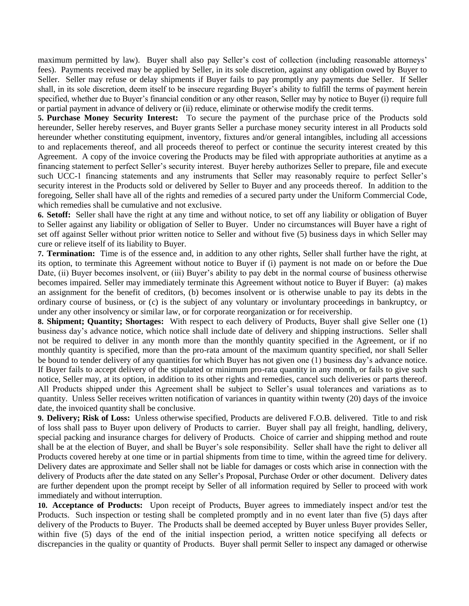maximum permitted by law). Buyer shall also pay Seller's cost of collection (including reasonable attorneys' fees). Payments received may be applied by Seller, in its sole discretion, against any obligation owed by Buyer to Seller. Seller may refuse or delay shipments if Buyer fails to pay promptly any payments due Seller. If Seller shall, in its sole discretion, deem itself to be insecure regarding Buyer's ability to fulfill the terms of payment herein specified, whether due to Buyer's financial condition or any other reason, Seller may by notice to Buyer (i) require full or partial payment in advance of delivery or (ii) reduce, eliminate or otherwise modify the credit terms.

**5. Purchase Money Security Interest:** To secure the payment of the purchase price of the Products sold hereunder, Seller hereby reserves, and Buyer grants Seller a purchase money security interest in all Products sold hereunder whether constituting equipment, inventory, fixtures and/or general intangibles, including all accessions to and replacements thereof, and all proceeds thereof to perfect or continue the security interest created by this Agreement. A copy of the invoice covering the Products may be filed with appropriate authorities at anytime as a financing statement to perfect Seller's security interest. Buyer hereby authorizes Seller to prepare, file and execute such UCC-1 financing statements and any instruments that Seller may reasonably require to perfect Seller's security interest in the Products sold or delivered by Seller to Buyer and any proceeds thereof. In addition to the foregoing, Seller shall have all of the rights and remedies of a secured party under the Uniform Commercial Code, which remedies shall be cumulative and not exclusive.

**6. Setoff:** Seller shall have the right at any time and without notice, to set off any liability or obligation of Buyer to Seller against any liability or obligation of Seller to Buyer. Under no circumstances will Buyer have a right of set off against Seller without prior written notice to Seller and without five (5) business days in which Seller may cure or relieve itself of its liability to Buyer.

**7. Termination:** Time is of the essence and, in addition to any other rights, Seller shall further have the right, at its option, to terminate this Agreement without notice to Buyer if (i) payment is not made on or before the Due Date, (ii) Buyer becomes insolvent, or (iii) Buyer's ability to pay debt in the normal course of business otherwise becomes impaired. Seller may immediately terminate this Agreement without notice to Buyer if Buyer: (a) makes an assignment for the benefit of creditors, (b) becomes insolvent or is otherwise unable to pay its debts in the ordinary course of business, or (c) is the subject of any voluntary or involuntary proceedings in bankruptcy, or under any other insolvency or similar law, or for corporate reorganization or for receivership.

**8. Shipment; Quantity; Shortages:** With respect to each delivery of Products, Buyer shall give Seller one (1) business day's advance notice, which notice shall include date of delivery and shipping instructions. Seller shall not be required to deliver in any month more than the monthly quantity specified in the Agreement, or if no monthly quantity is specified, more than the pro-rata amount of the maximum quantity specified, nor shall Seller be bound to tender delivery of any quantities for which Buyer has not given one (1) business day's advance notice. If Buyer fails to accept delivery of the stipulated or minimum pro-rata quantity in any month, or fails to give such notice, Seller may, at its option, in addition to its other rights and remedies, cancel such deliveries or parts thereof. All Products shipped under this Agreement shall be subject to Seller's usual tolerances and variations as to quantity. Unless Seller receives written notification of variances in quantity within twenty (20) days of the invoice date, the invoiced quantity shall be conclusive.

**9. Delivery; Risk of Loss:** Unless otherwise specified, Products are delivered F.O.B. delivered. Title to and risk of loss shall pass to Buyer upon delivery of Products to carrier. Buyer shall pay all freight, handling, delivery, special packing and insurance charges for delivery of Products. Choice of carrier and shipping method and route shall be at the election of Buyer, and shall be Buyer's sole responsibility. Seller shall have the right to deliver all Products covered hereby at one time or in partial shipments from time to time, within the agreed time for delivery. Delivery dates are approximate and Seller shall not be liable for damages or costs which arise in connection with the delivery of Products after the date stated on any Seller's Proposal, Purchase Order or other document. Delivery dates are further dependent upon the prompt receipt by Seller of all information required by Seller to proceed with work immediately and without interruption.

**10. Acceptance of Products:** Upon receipt of Products, Buyer agrees to immediately inspect and/or test the Products. Such inspection or testing shall be completed promptly and in no event later than five (5) days after delivery of the Products to Buyer. The Products shall be deemed accepted by Buyer unless Buyer provides Seller, within five (5) days of the end of the initial inspection period, a written notice specifying all defects or discrepancies in the quality or quantity of Products. Buyer shall permit Seller to inspect any damaged or otherwise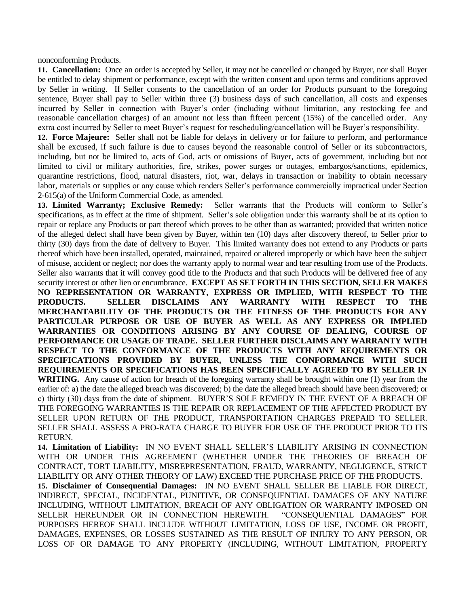nonconforming Products.

**11. Cancellation:** Once an order is accepted by Seller, it may not be cancelled or changed by Buyer, nor shall Buyer be entitled to delay shipment or performance, except with the written consent and upon terms and conditions approved by Seller in writing. If Seller consents to the cancellation of an order for Products pursuant to the foregoing sentence, Buyer shall pay to Seller within three (3) business days of such cancellation, all costs and expenses incurred by Seller in connection with Buyer's order (including without limitation, any restocking fee and reasonable cancellation charges) of an amount not less than fifteen percent (15%) of the cancelled order. Any extra cost incurred by Seller to meet Buyer's request for rescheduling/cancellation will be Buyer's responsibility.

**12. Force Majeure:** Seller shall not be liable for delays in delivery or for failure to perform, and performance shall be excused, if such failure is due to causes beyond the reasonable control of Seller or its subcontractors, including, but not be limited to, acts of God, acts or omissions of Buyer, acts of government, including but not limited to civil or military authorities, fire, strikes, power surges or outages, embargos/sanctions, epidemics, quarantine restrictions, flood, natural disasters, riot, war, delays in transaction or inability to obtain necessary labor, materials or supplies or any cause which renders Seller's performance commercially impractical under Section 2-615(a) of the Uniform Commercial Code, as amended.

**13. Limited Warranty; Exclusive Remedy:** Seller warrants that the Products will conform to Seller's specifications, as in effect at the time of shipment. Seller's sole obligation under this warranty shall be at its option to repair or replace any Products or part thereof which proves to be other than as warranted; provided that written notice of the alleged defect shall have been given by Buyer, within ten (10) days after discovery thereof, to Seller prior to thirty (30) days from the date of delivery to Buyer. This limited warranty does not extend to any Products or parts thereof which have been installed, operated, maintained, repaired or altered improperly or which have been the subject of misuse, accident or neglect; nor does the warranty apply to normal wear and tear resulting from use of the Products. Seller also warrants that it will convey good title to the Products and that such Products will be delivered free of any security interest or other lien or encumbrance. **EXCEPT AS SET FORTH IN THIS SECTION, SELLER MAKES NO REPRESENTATION OR WARRANTY, EXPRESS OR IMPLIED, WITH RESPECT TO THE PRODUCTS. SELLER DISCLAIMS ANY WARRANTY WITH RESPECT TO THE MERCHANTABILITY OF THE PRODUCTS OR THE FITNESS OF THE PRODUCTS FOR ANY PARTICULAR PURPOSE OR USE OF BUYER AS WELL AS ANY EXPRESS OR IMPLIED WARRANTIES OR CONDITIONS ARISING BY ANY COURSE OF DEALING, COURSE OF PERFORMANCE OR USAGE OF TRADE. SELLER FURTHER DISCLAIMS ANY WARRANTY WITH RESPECT TO THE CONFORMANCE OF THE PRODUCTS WITH ANY REQUIREMENTS OR SPECIFICATIONS PROVIDED BY BUYER, UNLESS THE CONFORMANCE WITH SUCH REQUIREMENTS OR SPECIFICATIONS HAS BEEN SPECIFICALLY AGREED TO BY SELLER IN WRITING.** Any cause of action for breach of the foregoing warranty shall be brought within one (1) year from the earlier of: a) the date the alleged breach was discovered; b) the date the alleged breach should have been discovered; or c) thirty (30) days from the date of shipment. BUYER'S SOLE REMEDY IN THE EVENT OF A BREACH OF THE FOREGOING WARRANTIES IS THE REPAIR OR REPLACEMENT OF THE AFFECTED PRODUCT BY SELLER UPON RETURN OF THE PRODUCT, TRANSPORTATION CHARGES PREPAID TO SELLER. SELLER SHALL ASSESS A PRO-RATA CHARGE TO BUYER FOR USE OF THE PRODUCT PRIOR TO ITS RETURN.

**14. Limitation of Liability:** IN NO EVENT SHALL SELLER'S LIABILITY ARISING IN CONNECTION WITH OR UNDER THIS AGREEMENT (WHETHER UNDER THE THEORIES OF BREACH OF CONTRACT, TORT LIABILITY, MISREPRESENTATION, FRAUD, WARRANTY, NEGLIGENCE, STRICT LIABILITY OR ANY OTHER THEORY OF LAW) EXCEED THE PURCHASE PRICE OF THE PRODUCTS.

**15. Disclaimer of Consequential Damages:** IN NO EVENT SHALL SELLER BE LIABLE FOR DIRECT, INDIRECT, SPECIAL, INCIDENTAL, PUNITIVE, OR CONSEQUENTIAL DAMAGES OF ANY NATURE INCLUDING, WITHOUT LIMITATION, BREACH OF ANY OBLIGATION OR WARRANTY IMPOSED ON SELLER HEREUNDER OR IN CONNECTION HEREWITH. "CONSEQUENTIAL DAMAGES" FOR PURPOSES HEREOF SHALL INCLUDE WITHOUT LIMITATION, LOSS OF USE, INCOME OR PROFIT, DAMAGES, EXPENSES, OR LOSSES SUSTAINED AS THE RESULT OF INJURY TO ANY PERSON, OR LOSS OF OR DAMAGE TO ANY PROPERTY (INCLUDING, WITHOUT LIMITATION, PROPERTY